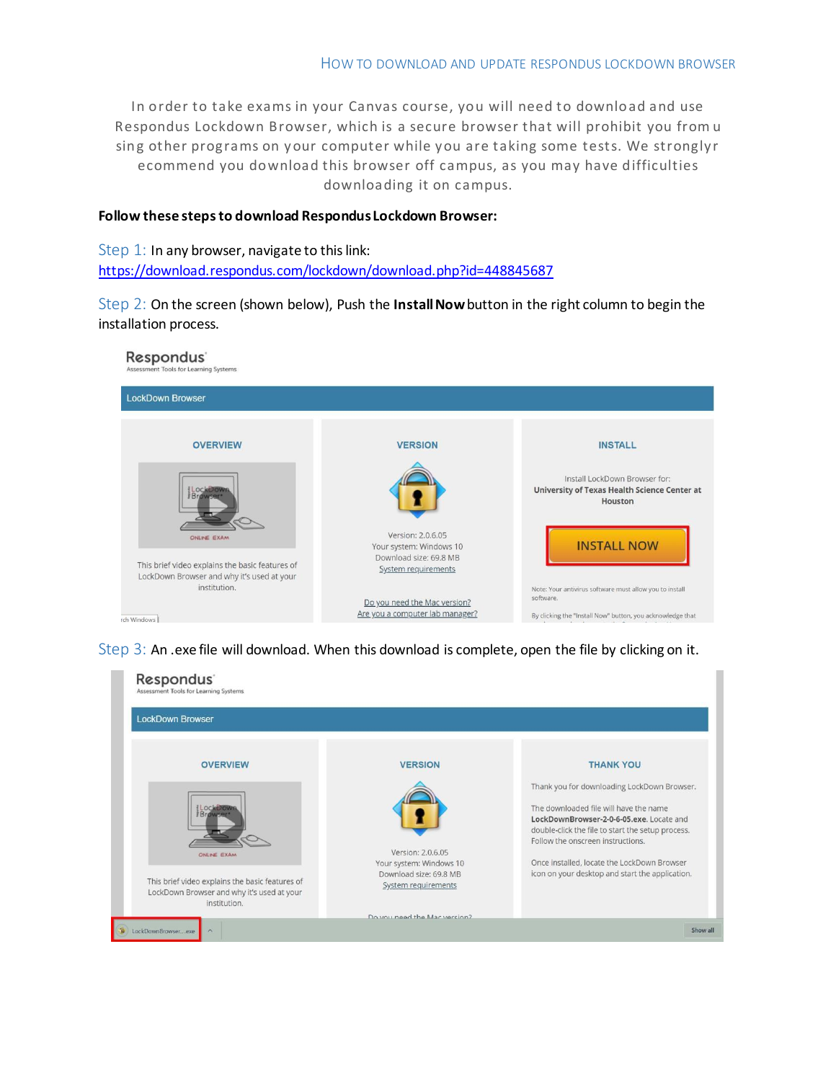In order to take exams in your Canvas course, you will need to download and use Respondus Lockdown Browser, which is a secure browser that will prohibit you from u sing other programs on your computer while you are taking some tests. We strongly r ecommend you download this browser off campus, as you may have difficulties downloading it on campus.

### **Follow these stepsto download RespondusLockdown Browser:**

Step 1: In any browser, navigate to this link: <https://download.respondus.com/lockdown/download.php?id=448845687>

Step 2: On the screen (shown below), Push the **Install Now** button in the right column to begin the installation process.



Step 3: An .exe file will download. When this download is complete, open the file by clicking on it.

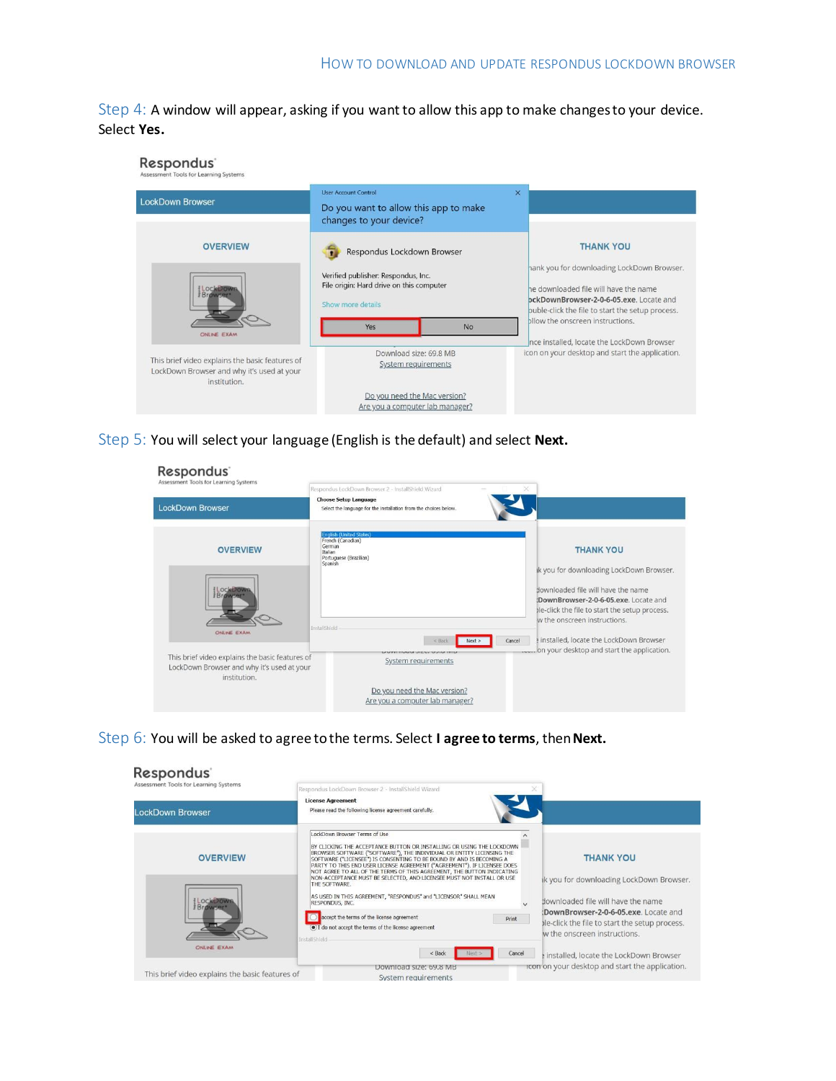Step 4: A window will appear, asking if you want to allow this app to make changes to your device. Select **Yes.**



Step 5: You will select your language (English is the default) and select **Next.**

| Respondus <sup>®</sup><br>Assessment Tools for Learning Systems                                               | Respondus LockDown Browser 2 - InstallShield Wizard                                                           | ×                                                                                                                                                                                                         |
|---------------------------------------------------------------------------------------------------------------|---------------------------------------------------------------------------------------------------------------|-----------------------------------------------------------------------------------------------------------------------------------------------------------------------------------------------------------|
| <b>LockDown Browser</b>                                                                                       | <b>Choose Setup Language</b><br>Select the language for the installation from the choices below.              |                                                                                                                                                                                                           |
| <b>OVERVIEW</b>                                                                                               | <b>English (United States)</b><br>French (Canadian)<br>German<br>Italian<br>Portuguese (Brazilian)<br>Spanish | <b>THANK YOU</b>                                                                                                                                                                                          |
|                                                                                                               |                                                                                                               | ik you for downloading LockDown Browser.<br>flownloaded file will have the name<br>DownBrowser-2-0-6-05,exe. Locate and<br>ble-click the file to start the setup process.<br>w the onscreen instructions. |
| ONLINE EXAM                                                                                                   | InstallShield<br>Cancel<br>< Back<br>Next                                                                     | installed, locate the LockDown Browser                                                                                                                                                                    |
| This brief video explains the basic features of<br>LockDown Browser and why it's used at your<br>institution. | <b>UNITED VIOLATION OF A STATE</b><br>System requirements                                                     |                                                                                                                                                                                                           |
|                                                                                                               | Do you need the Mac version?<br>Are you a computer lab manager?                                               |                                                                                                                                                                                                           |

Step 6: You will be asked to agree tothe terms. Select **I agree to terms**, then**Next.**

| Respondus <sup>®</sup><br>Assessment Tools for Learning Systems |                                                                                                                                                                                                                                                                                                                                                                                                                                                                                        |                                                                                                                                                                                                           |
|-----------------------------------------------------------------|----------------------------------------------------------------------------------------------------------------------------------------------------------------------------------------------------------------------------------------------------------------------------------------------------------------------------------------------------------------------------------------------------------------------------------------------------------------------------------------|-----------------------------------------------------------------------------------------------------------------------------------------------------------------------------------------------------------|
| <b>LockDown Browser</b>                                         | Respondus LockDown Browser 2 - InstallShield Wizard<br><b>License Agreement</b><br>Please read the following license agreement carefully.                                                                                                                                                                                                                                                                                                                                              |                                                                                                                                                                                                           |
| <b>OVERVIEW</b>                                                 | LockDown Browser Terms of Use<br>BY CLICKING THE ACCEPTANCE BUTTON OR INSTALLING OR USING THE LOCKDOWN<br>BROWSER SOFTWARE ("SOFTWARE"), THE INDIVIDUAL OR ENTITY LICENSING THE<br>SOFTWARE ("LICENSEE") IS CONSENTING TO BE BOUND BY AND IS BECOMING A<br>PARTY TO THIS END USER LICENSE AGREEMENT ("AGREEMENT"). IF LICENSEE DOES<br>NOT AGREE TO ALL OF THE TERMS OF THIS AGREEMENT. THE BUTTON INDICATING<br>NON-ACCEPTANCE MUST BE SELECTED, AND LICENSEE MUST NOT INSTALL OR USE | <b>THANK YOU</b>                                                                                                                                                                                          |
| Browser <sup>®</sup>                                            | THE SOFTWARE.<br>AS USED IN THIS AGREEMENT, "RESPONDUS" and "LICENSOR" SHALL MEAN<br>RESPONDUS, INC.<br>accept the terms of the license agreement<br>Print<br>(.) I do not accept the terms of the license agreement                                                                                                                                                                                                                                                                   | ik you for downloading LockDown Browser.<br>downloaded file will have the name<br>:DownBrowser-2-0-6-05.exe. Locate and<br>ble-click the file to start the setup process.<br>w the onscreen instructions. |
| ONLINE EXAM                                                     | <b>InstallShield</b><br>Cancel<br>$<$ Back                                                                                                                                                                                                                                                                                                                                                                                                                                             | installed, locate the LockDown Browser                                                                                                                                                                    |
| This brief video explains the basic features of                 | Download size: 69.8 MB<br>System requirements                                                                                                                                                                                                                                                                                                                                                                                                                                          | rcon on your desktop and start the application.                                                                                                                                                           |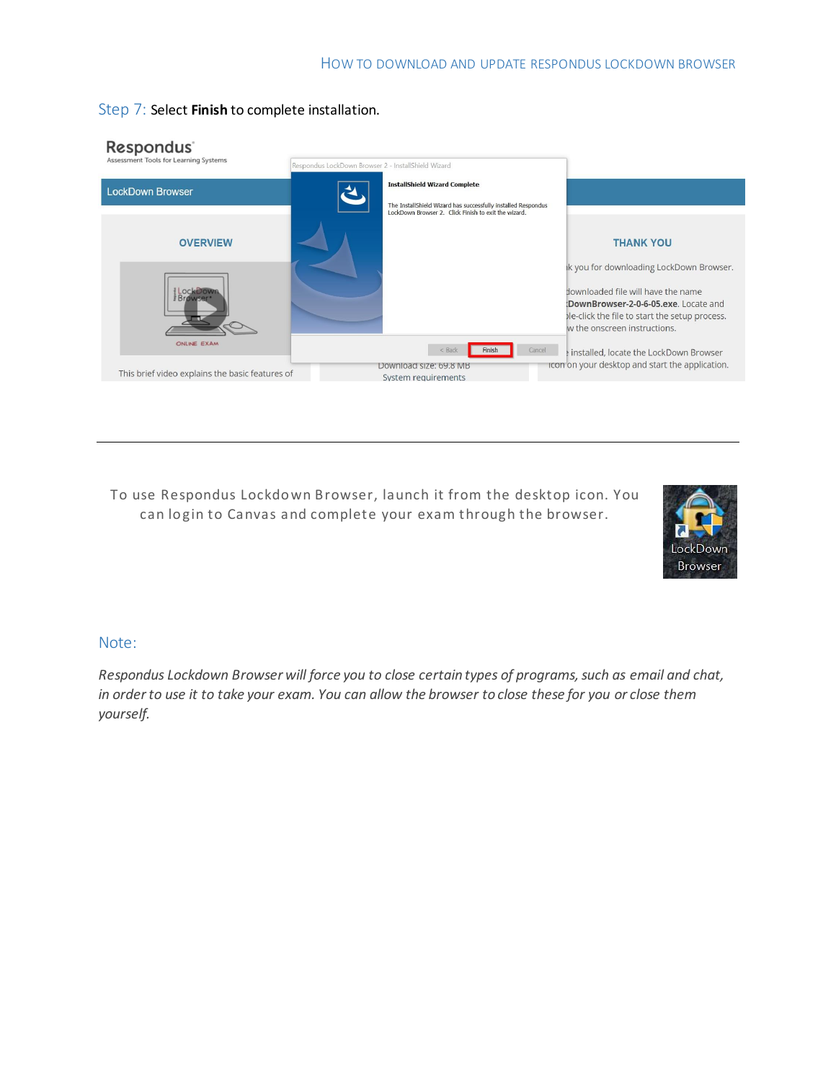

### Step 7: Select **Finish** to complete installation.

To use Respondus Lockdown Browser, launch it from the desktop icon. You can login to Canvas and complete your exam through the browser.



## Note:

*Respondus Lockdown Browser will force you to close certain types of programs, such as email and chat, in orderto use it to take your exam. You can allow the browser to close these for you or close them yourself.*